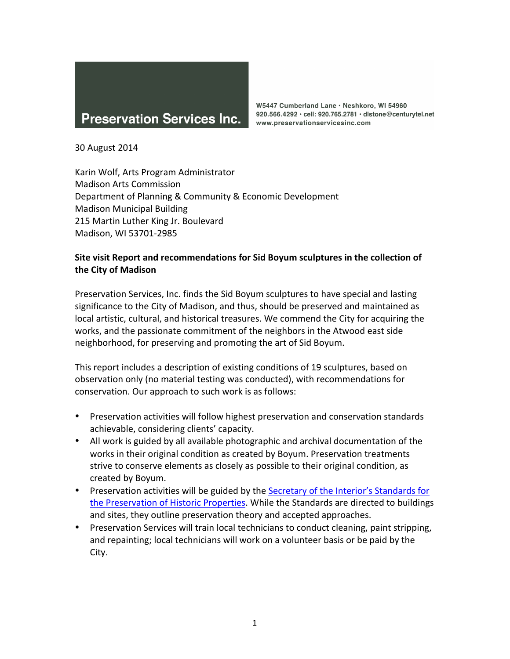

W5447 Cumberland Lane · Neshkoro, WI 54960 920.566.4292 · cell: 920.765.2781 · distone@centurytel.net www.preservationservicesinc.com

30 August 2014

Karin Wolf, Arts Program Administrator Madison Arts Commission Department of Planning & Community & Economic Development Madison Municipal Building 215 Martin Luther King Jr. Boulevard Madison, WI 53701-2985

## **Site visit Report and recommendations for Sid Boyum sculptures in the collection of the City of Madison**

Preservation Services, Inc. finds the Sid Boyum sculptures to have special and lasting significance to the City of Madison, and thus, should be preserved and maintained as local artistic, cultural, and historical treasures. We commend the City for acquiring the works, and the passionate commitment of the neighbors in the Atwood east side neighborhood, for preserving and promoting the art of Sid Boyum.

This report includes a description of existing conditions of 19 sculptures, based on observation only (no material testing was conducted), with recommendations for conservation. Our approach to such work is as follows:

- Preservation activities will follow highest preservation and conservation standards achievable, considering clients' capacity.
- All work is guided by all available photographic and archival documentation of the works in their original condition as created by Boyum. Preservation treatments strive to conserve elements as closely as possible to their original condition, as created by Boyum.
- Preservation activities will be guided by the Secretary of the Interior's Standards for the Preservation of Historic Properties. While the Standards are directed to buildings and sites, they outline preservation theory and accepted approaches.
- Preservation Services will train local technicians to conduct cleaning, paint stripping, and repainting; local technicians will work on a volunteer basis or be paid by the City.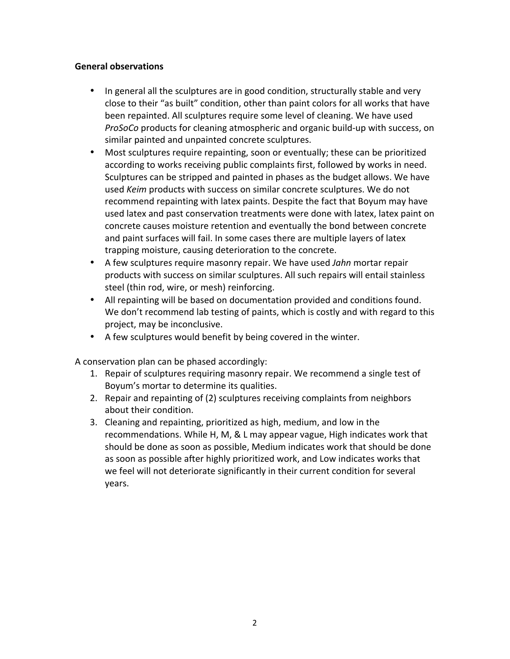#### **General observations**

- In general all the sculptures are in good condition, structurally stable and very close to their "as built" condition, other than paint colors for all works that have been repainted. All sculptures require some level of cleaning. We have used *ProSoCo* products for cleaning atmospheric and organic build-up with success, on similar painted and unpainted concrete sculptures.
- Most sculptures require repainting, soon or eventually; these can be prioritized according to works receiving public complaints first, followed by works in need. Sculptures can be stripped and painted in phases as the budget allows. We have used *Keim* products with success on similar concrete sculptures. We do not recommend repainting with latex paints. Despite the fact that Boyum may have used latex and past conservation treatments were done with latex, latex paint on concrete causes moisture retention and eventually the bond between concrete and paint surfaces will fail. In some cases there are multiple layers of latex trapping moisture, causing deterioration to the concrete.
- A few sculptures require masonry repair. We have used *Jahn* mortar repair products with success on similar sculptures. All such repairs will entail stainless steel (thin rod, wire, or mesh) reinforcing.
- All repainting will be based on documentation provided and conditions found. We don't recommend lab testing of paints, which is costly and with regard to this project, may be inconclusive.
- A few sculptures would benefit by being covered in the winter.

A conservation plan can be phased accordingly:

- 1. Repair of sculptures requiring masonry repair. We recommend a single test of Boyum's mortar to determine its qualities.
- 2. Repair and repainting of (2) sculptures receiving complaints from neighbors about their condition.
- 3. Cleaning and repainting, prioritized as high, medium, and low in the recommendations. While H, M, & L may appear vague, High indicates work that should be done as soon as possible, Medium indicates work that should be done as soon as possible after highly prioritized work, and Low indicates works that we feel will not deteriorate significantly in their current condition for several years.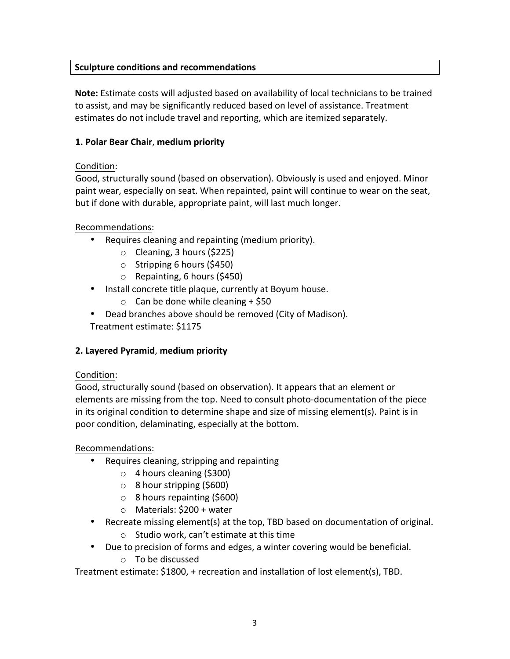## **Sculpture conditions and recommendations**

**Note:** Estimate costs will adjusted based on availability of local technicians to be trained to assist, and may be significantly reduced based on level of assistance. Treatment estimates do not include travel and reporting, which are itemized separately.

## **1. Polar Bear Chair**, **medium priority**

## Condition:

Good, structurally sound (based on observation). Obviously is used and enjoyed. Minor paint wear, especially on seat. When repainted, paint will continue to wear on the seat, but if done with durable, appropriate paint, will last much longer.

## Recommendations:

- Requires cleaning and repainting (medium priority).
	- o Cleaning, 3 hours (\$225)
	- o Stripping 6 hours (\$450)
	- o Repainting, 6 hours (\$450)
- Install concrete title plaque, currently at Boyum house.
	- $\circ$  Can be done while cleaning + \$50
- Dead branches above should be removed (City of Madison).

Treatment estimate: \$1175

# **2. Layered Pyramid**, **medium priority**

## Condition:

Good, structurally sound (based on observation). It appears that an element or elements are missing from the top. Need to consult photo-documentation of the piece in its original condition to determine shape and size of missing element(s). Paint is in poor condition, delaminating, especially at the bottom.

## Recommendations:

- Requires cleaning, stripping and repainting
	- o 4 hours cleaning (\$300)
	- o 8 hour stripping (\$600)
	- o 8 hours repainting (\$600)
	- o Materials: \$200 + water
- Recreate missing element(s) at the top, TBD based on documentation of original. o Studio work, can't estimate at this time
- Due to precision of forms and edges, a winter covering would be beneficial. o To be discussed

Treatment estimate: \$1800, + recreation and installation of lost element(s), TBD.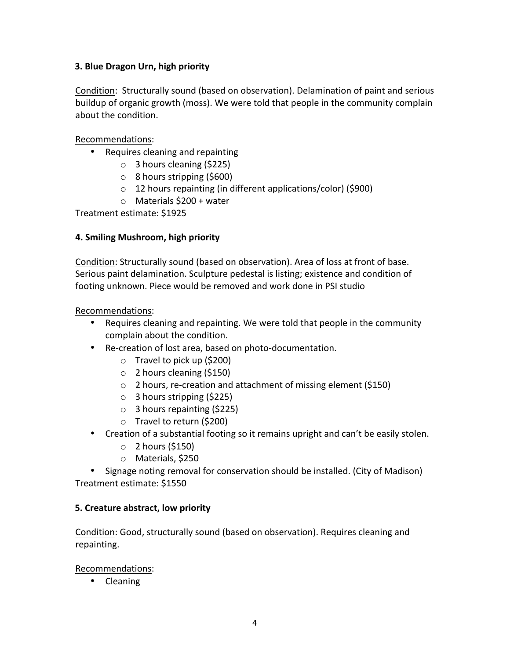## **3. Blue Dragon Urn, high priority**

Condition: Structurally sound (based on observation). Delamination of paint and serious buildup of organic growth (moss). We were told that people in the community complain about the condition.

Recommendations:

- Requires cleaning and repainting
	- o 3 hours cleaning (\$225)
	- o 8 hours stripping (\$600)
	- o 12 hours repainting (in different applications/color) (\$900)
	- $\circ$  Materials \$200 + water

Treatment estimate: \$1925

## **4. Smiling Mushroom, high priority**

Condition: Structurally sound (based on observation). Area of loss at front of base. Serious paint delamination. Sculpture pedestal is listing; existence and condition of footing unknown. Piece would be removed and work done in PSI studio

Recommendations:

- Requires cleaning and repainting. We were told that people in the community complain about the condition.
- Re-creation of lost area, based on photo-documentation.
	- o Travel to pick up (\$200)
	- o 2 hours cleaning (\$150)
	- o 2 hours, re-creation and attachment of missing element (\$150)
	- o 3 hours stripping (\$225)
	- $\circ$  3 hours repainting (\$225)
	- o Travel to return (\$200)
- Creation of a substantial footing so it remains upright and can't be easily stolen.
	- $\circ$  2 hours (\$150)
	- o Materials, \$250

• Signage noting removal for conservation should be installed. (City of Madison) Treatment estimate: \$1550

## **5. Creature abstract, low priority**

Condition: Good, structurally sound (based on observation). Requires cleaning and repainting.

Recommendations:

• Cleaning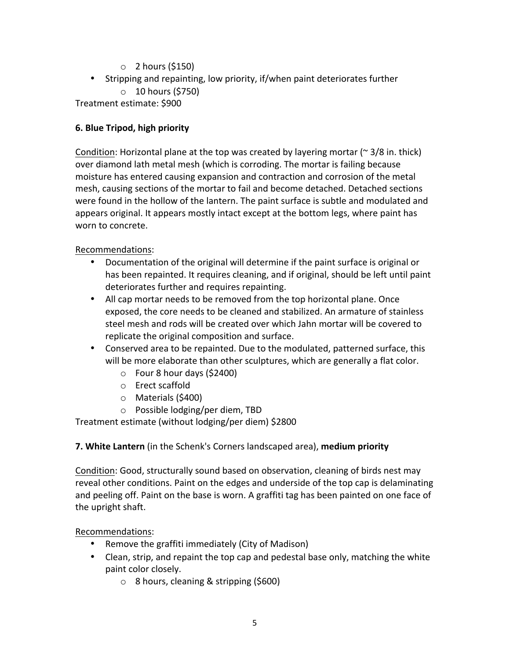- $\circ$  2 hours (\$150)
- Stripping and repainting, low priority, if/when paint deteriorates further o 10 hours (\$750)

Treatment estimate: \$900

## **6. Blue Tripod, high priority**

Condition: Horizontal plane at the top was created by layering mortar ( $\approx$  3/8 in. thick) over diamond lath metal mesh (which is corroding. The mortar is failing because moisture has entered causing expansion and contraction and corrosion of the metal mesh, causing sections of the mortar to fail and become detached. Detached sections were found in the hollow of the lantern. The paint surface is subtle and modulated and appears original. It appears mostly intact except at the bottom legs, where paint has worn to concrete.

Recommendations:

- Documentation of the original will determine if the paint surface is original or has been repainted. It requires cleaning, and if original, should be left until paint deteriorates further and requires repainting.
- All cap mortar needs to be removed from the top horizontal plane. Once exposed, the core needs to be cleaned and stabilized. An armature of stainless steel mesh and rods will be created over which Jahn mortar will be covered to replicate the original composition and surface.
- Conserved area to be repainted. Due to the modulated, patterned surface, this will be more elaborate than other sculptures, which are generally a flat color.
	- $\circ$  Four 8 hour days (\$2400)
	- o Erect scaffold
	- o Materials (\$400)
	- o Possible lodging/per diem, TBD

Treatment estimate (without lodging/per diem) \$2800

# **7. White Lantern** (in the Schenk's Corners landscaped area), **medium priority**

Condition: Good, structurally sound based on observation, cleaning of birds nest may reveal other conditions. Paint on the edges and underside of the top cap is delaminating and peeling off. Paint on the base is worn. A graffiti tag has been painted on one face of the upright shaft.

Recommendations:

- Remove the graffiti immediately (City of Madison)
- Clean, strip, and repaint the top cap and pedestal base only, matching the white paint color closely.
	- o 8 hours, cleaning & stripping (\$600)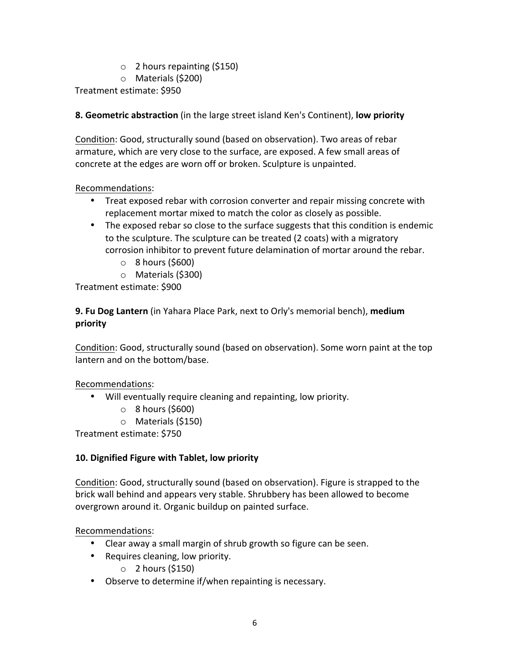- $\circ$  2 hours repainting (\$150)
- o Materials (\$200)

Treatment estimate: \$950

**8. Geometric abstraction** (in the large street island Ken's Continent), **low priority**

Condition: Good, structurally sound (based on observation). Two areas of rebar armature, which are very close to the surface, are exposed. A few small areas of concrete at the edges are worn off or broken. Sculpture is unpainted.

## Recommendations:

- Treat exposed rebar with corrosion converter and repair missing concrete with replacement mortar mixed to match the color as closely as possible.
- The exposed rebar so close to the surface suggests that this condition is endemic to the sculpture. The sculpture can be treated (2 coats) with a migratory corrosion inhibitor to prevent future delamination of mortar around the rebar.
	- $\circ$  8 hours (\$600)
	- o Materials (\$300)

Treatment estimate: \$900

**9. Fu Dog Lantern** (in Yahara Place Park, next to Orly's memorial bench), **medium priority**

Condition: Good, structurally sound (based on observation). Some worn paint at the top lantern and on the bottom/base.

Recommendations:

- Will eventually require cleaning and repainting, low priority.
	- $\circ$  8 hours (\$600)
	- o Materials (\$150)

Treatment estimate: \$750

# **10. Dignified Figure with Tablet, low priority**

Condition: Good, structurally sound (based on observation). Figure is strapped to the brick wall behind and appears very stable. Shrubbery has been allowed to become overgrown around it. Organic buildup on painted surface.

Recommendations:

- Clear away a small margin of shrub growth so figure can be seen.
- Requires cleaning, low priority.
	- $\circ$  2 hours (\$150)
- Observe to determine if/when repainting is necessary.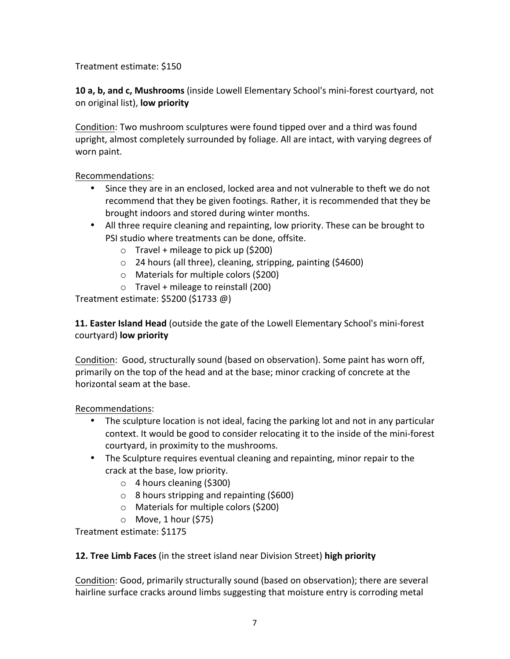## Treatment estimate: \$150

**10 a, b, and c, Mushrooms** (inside Lowell Elementary School's mini-forest courtyard, not on original list), **low priority**

Condition: Two mushroom sculptures were found tipped over and a third was found upright, almost completely surrounded by foliage. All are intact, with varying degrees of worn paint.

## Recommendations:

- Since they are in an enclosed, locked area and not vulnerable to theft we do not recommend that they be given footings. Rather, it is recommended that they be brought indoors and stored during winter months.
- All three require cleaning and repainting, low priority. These can be brought to PSI studio where treatments can be done, offsite.
	- $\circ$  Travel + mileage to pick up (\$200)
	- o 24 hours (all three), cleaning, stripping, painting (\$4600)
	- o Materials for multiple colors (\$200)
	- $\circ$  Travel + mileage to reinstall (200)

Treatment estimate: \$5200 (\$1733 @)

**11. Easter Island Head** (outside the gate of the Lowell Elementary School's mini-forest courtyard) **low priority**

Condition: Good, structurally sound (based on observation). Some paint has worn off, primarily on the top of the head and at the base; minor cracking of concrete at the horizontal seam at the base.

Recommendations:

- The sculpture location is not ideal, facing the parking lot and not in any particular context. It would be good to consider relocating it to the inside of the mini-forest courtyard, in proximity to the mushrooms.
- The Sculpture requires eventual cleaning and repainting, minor repair to the crack at the base, low priority.
	- o 4 hours cleaning (\$300)
	- o 8 hours stripping and repainting (\$600)
	- o Materials for multiple colors (\$200)
	- $\circ$  Move, 1 hour (\$75)

Treatment estimate: \$1175

**12. Tree Limb Faces** (in the street island near Division Street) **high priority**

Condition: Good, primarily structurally sound (based on observation); there are several hairline surface cracks around limbs suggesting that moisture entry is corroding metal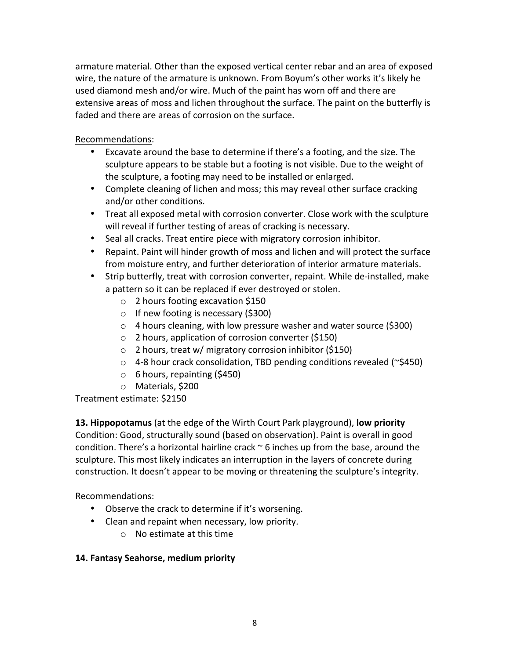armature material. Other than the exposed vertical center rebar and an area of exposed wire, the nature of the armature is unknown. From Boyum's other works it's likely he used diamond mesh and/or wire. Much of the paint has worn off and there are extensive areas of moss and lichen throughout the surface. The paint on the butterfly is faded and there are areas of corrosion on the surface.

Recommendations:

- Excavate around the base to determine if there's a footing, and the size. The sculpture appears to be stable but a footing is not visible. Due to the weight of the sculpture, a footing may need to be installed or enlarged.
- Complete cleaning of lichen and moss; this may reveal other surface cracking and/or other conditions.
- Treat all exposed metal with corrosion converter. Close work with the sculpture will reveal if further testing of areas of cracking is necessary.
- Seal all cracks. Treat entire piece with migratory corrosion inhibitor.
- Repaint. Paint will hinder growth of moss and lichen and will protect the surface from moisture entry, and further deterioration of interior armature materials.
- Strip butterfly, treat with corrosion converter, repaint. While de-installed, make a pattern so it can be replaced if ever destroyed or stolen.
	- o 2 hours footing excavation \$150
	- o If new footing is necessary (\$300)
	- o 4 hours cleaning, with low pressure washer and water source (\$300)
	- o 2 hours, application of corrosion converter (\$150)
	- o 2 hours, treat w/ migratory corrosion inhibitor (\$150)
	- o 4-8 hour crack consolidation, TBD pending conditions revealed (~\$450)
	- o 6 hours, repainting (\$450)
	- o Materials, \$200

Treatment estimate: \$2150

**13. Hippopotamus** (at the edge of the Wirth Court Park playground), **low priority** Condition: Good, structurally sound (based on observation). Paint is overall in good condition. There's a horizontal hairline crack  $\sim$  6 inches up from the base, around the sculpture. This most likely indicates an interruption in the layers of concrete during construction. It doesn't appear to be moving or threatening the sculpture's integrity.

Recommendations:

- Observe the crack to determine if it's worsening.
- Clean and repaint when necessary, low priority.
	- o No estimate at this time

## **14. Fantasy Seahorse, medium priority**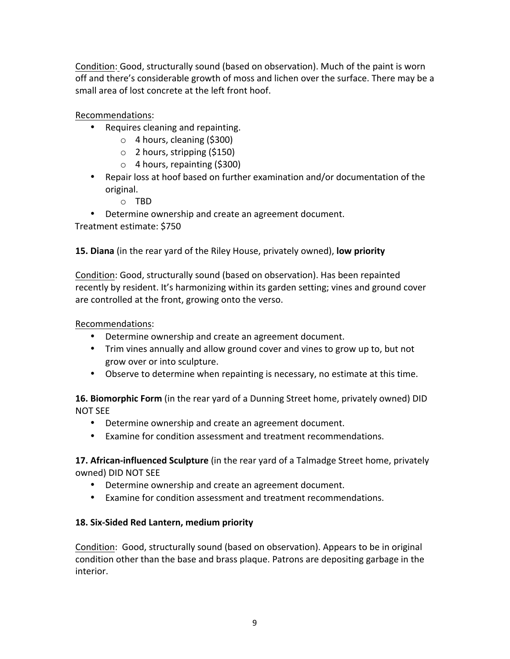Condition: Good, structurally sound (based on observation). Much of the paint is worn off and there's considerable growth of moss and lichen over the surface. There may be a small area of lost concrete at the left front hoof.

Recommendations:

- Requires cleaning and repainting.
	- o 4 hours, cleaning (\$300)
	- $\circ$  2 hours, stripping (\$150)
	- o 4 hours, repainting (\$300)
- Repair loss at hoof based on further examination and/or documentation of the original.
	- o TBD
- Determine ownership and create an agreement document.

Treatment estimate: \$750

**15. Diana** (in the rear yard of the Riley House, privately owned), **low priority**

Condition: Good, structurally sound (based on observation). Has been repainted recently by resident. It's harmonizing within its garden setting; vines and ground cover are controlled at the front, growing onto the verso.

Recommendations:

- Determine ownership and create an agreement document.
- Trim vines annually and allow ground cover and vines to grow up to, but not grow over or into sculpture.
- Observe to determine when repainting is necessary, no estimate at this time.

**16. Biomorphic Form** (in the rear yard of a Dunning Street home, privately owned) DID NOT SEE

- Determine ownership and create an agreement document.
- Examine for condition assessment and treatment recommendations.

**17. African-influenced Sculpture** (in the rear yard of a Talmadge Street home, privately owned) DID NOT SEE

- Determine ownership and create an agreement document.
- Examine for condition assessment and treatment recommendations.

#### **18. Six-Sided Red Lantern, medium priority**

Condition: Good, structurally sound (based on observation). Appears to be in original condition other than the base and brass plaque. Patrons are depositing garbage in the interior.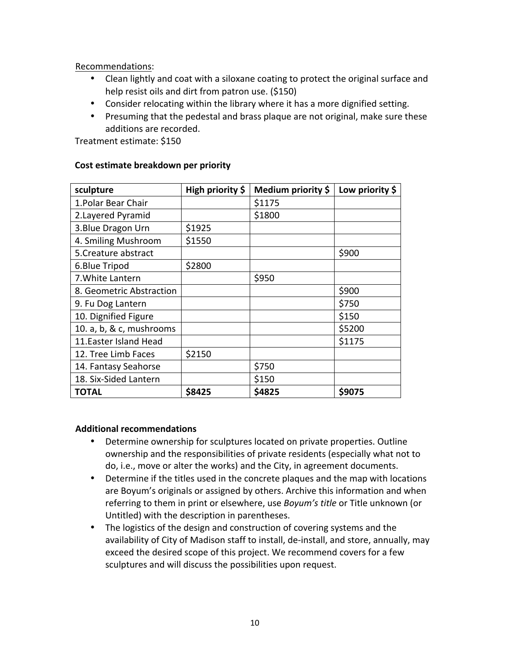Recommendations:

- Clean lightly and coat with a siloxane coating to protect the original surface and help resist oils and dirt from patron use. (\$150)
- Consider relocating within the library where it has a more dignified setting.
- Presuming that the pedestal and brass plaque are not original, make sure these additions are recorded.

Treatment estimate: \$150

| sculpture                | High priority \$ | Medium priority \$ | Low priority \$ |
|--------------------------|------------------|--------------------|-----------------|
| 1. Polar Bear Chair      |                  | \$1175             |                 |
| 2. Layered Pyramid       |                  | \$1800             |                 |
| 3. Blue Dragon Urn       | \$1925           |                    |                 |
| 4. Smiling Mushroom      | \$1550           |                    |                 |
| 5. Creature abstract     |                  |                    | \$900           |
| 6.Blue Tripod            | \$2800           |                    |                 |
| 7. White Lantern         |                  | \$950              |                 |
| 8. Geometric Abstraction |                  |                    | \$900           |
| 9. Fu Dog Lantern        |                  |                    | \$750           |
| 10. Dignified Figure     |                  |                    | \$150           |
| 10. a, b, & c, mushrooms |                  |                    | \$5200          |
| 11. Easter Island Head   |                  |                    | \$1175          |
| 12. Tree Limb Faces      | \$2150           |                    |                 |
| 14. Fantasy Seahorse     |                  | \$750              |                 |
| 18. Six-Sided Lantern    |                  | \$150              |                 |
| <b>TOTAL</b>             | \$8425           | \$4825             | \$9075          |

#### **Cost estimate breakdown per priority**

#### **Additional recommendations**

- Determine ownership for sculptures located on private properties. Outline ownership and the responsibilities of private residents (especially what not to do, i.e., move or alter the works) and the City, in agreement documents.
- Determine if the titles used in the concrete plaques and the map with locations are Boyum's originals or assigned by others. Archive this information and when referring to them in print or elsewhere, use *Boyum's title* or Title unknown (or Untitled) with the description in parentheses.
- The logistics of the design and construction of covering systems and the availability of City of Madison staff to install, de-install, and store, annually, may exceed the desired scope of this project. We recommend covers for a few sculptures and will discuss the possibilities upon request.